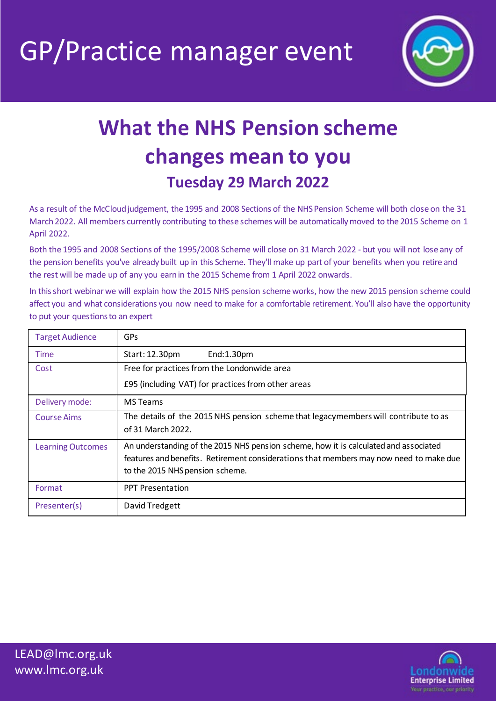GP/Practice manager event



## **What the NHS Pension scheme changes mean to you Tuesday 29 March 2022**

As a result of the McCloud judgement, the 1995 and 2008 Sections of the NHSPension Scheme will both close on the 31 March 2022. All members currently contributing to these schemes will be automatically moved to the 2015 Scheme on 1 April 2022.

Both the 1995 and 2008 Sections of the 1995/2008 Scheme will close on 31 March 2022 - but you will not lose any of the pension benefits you've alreadybuilt up in this Scheme. They'll make up part of your benefits when you retire and the rest will be made up of any you earn in the 2015 Scheme from 1 April 2022 onwards.

In this short webinar we will explain how the 2015 NHS pension scheme works, how the new 2015 pension scheme could affect you and what considerations you now need to make for a comfortable retirement. You'll also have the opportunity to put your questions to an expert

| <b>Target Audience</b>   | GPs                                                                                                                                                                                                               |  |
|--------------------------|-------------------------------------------------------------------------------------------------------------------------------------------------------------------------------------------------------------------|--|
| Time                     | Start: 12.30pm<br>End:1.30pm                                                                                                                                                                                      |  |
| Cost                     | Free for practices from the Londonwide area<br>£95 (including VAT) for practices from other areas                                                                                                                 |  |
|                          |                                                                                                                                                                                                                   |  |
| Delivery mode:           | <b>MS</b> Teams                                                                                                                                                                                                   |  |
| <b>Course Aims</b>       | The details of the 2015 NHS pension scheme that legacymembers will contribute to as<br>of 31 March 2022.                                                                                                          |  |
| <b>Learning Outcomes</b> | An understanding of the 2015 NHS pension scheme, how it is calculated and associated<br>features and benefits. Retirement considerations that members may now need to make due<br>to the 2015 NHS pension scheme. |  |
| Format                   | <b>PPT Presentation</b>                                                                                                                                                                                           |  |
| Presenter(s)             | David Tredgett                                                                                                                                                                                                    |  |